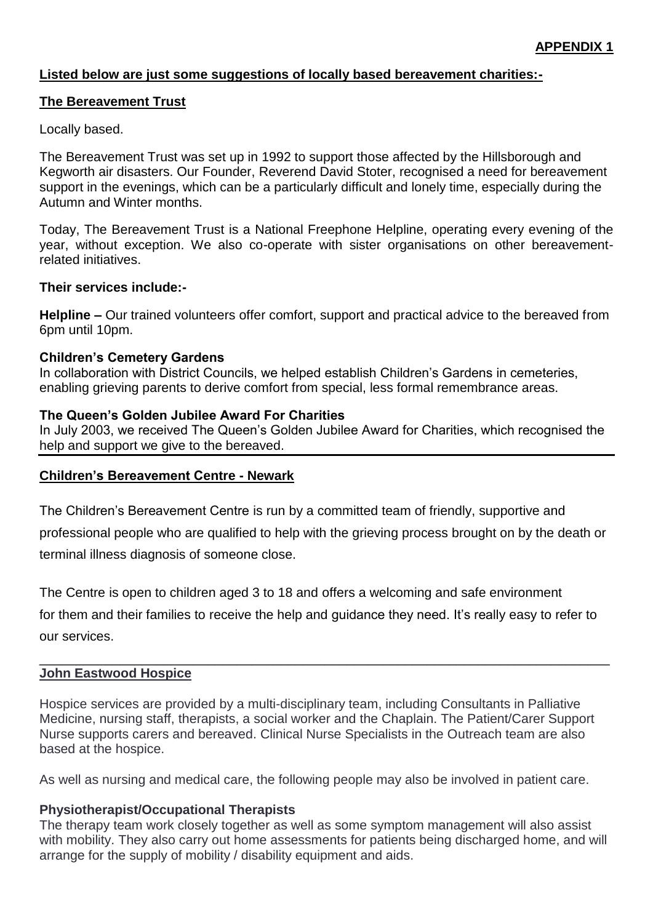## **Listed below are just some suggestions of locally based bereavement charities:-**

### **The Bereavement Trust**

### Locally based.

The Bereavement Trust was set up in 1992 to support those affected by the Hillsborough and Kegworth air disasters. Our Founder, Reverend David Stoter, recognised a need for bereavement support in the evenings, which can be a particularly difficult and lonely time, especially during the Autumn and Winter months.

Today, The Bereavement Trust is a National Freephone Helpline, operating every evening of the year, without exception. We also co-operate with sister organisations on other bereavementrelated initiatives.

### **Their services include:-**

**Helpline –** Our trained volunteers offer comfort, support and practical advice to the bereaved from 6pm until 10pm.

#### **Children's Cemetery Gardens**

In collaboration with District Councils, we helped establish Children's Gardens in cemeteries, enabling grieving parents to derive comfort from special, less formal remembrance areas.

#### **The Queen's Golden Jubilee Award For Charities**

In July 2003, we received The Queen's Golden Jubilee Award for Charities, which recognised the help and support we give to the bereaved.

### **Children's Bereavement Centre - Newark**

The Children's Bereavement Centre is run by a committed team of friendly, supportive and

professional people who are qualified to help with the grieving process brought on by the death or terminal illness diagnosis of someone close.

The Centre is open to children aged 3 to 18 and offers a welcoming and safe environment for them and their families to receive the help and guidance they need. It's really easy to refer to our services.

\_\_\_\_\_\_\_\_\_\_\_\_\_\_\_\_\_\_\_\_\_\_\_\_\_\_\_\_\_\_\_\_\_\_\_\_\_\_\_\_\_\_\_\_\_\_\_\_\_\_\_\_\_\_\_\_\_\_\_\_\_\_\_\_\_\_\_\_\_\_\_\_\_\_\_\_\_\_

### **John Eastwood Hospice**

Hospice services are provided by a multi-disciplinary team, including Consultants in Palliative Medicine, nursing staff, therapists, a social worker and the Chaplain. The Patient/Carer Support Nurse supports carers and bereaved. Clinical Nurse Specialists in the Outreach team are also based at the hospice.

As well as nursing and medical care, the following people may also be involved in patient care.

### **Physiotherapist/Occupational Therapists**

The therapy team work closely together as well as some symptom management will also assist with mobility. They also carry out home assessments for patients being discharged home, and will arrange for the supply of mobility / disability equipment and aids.